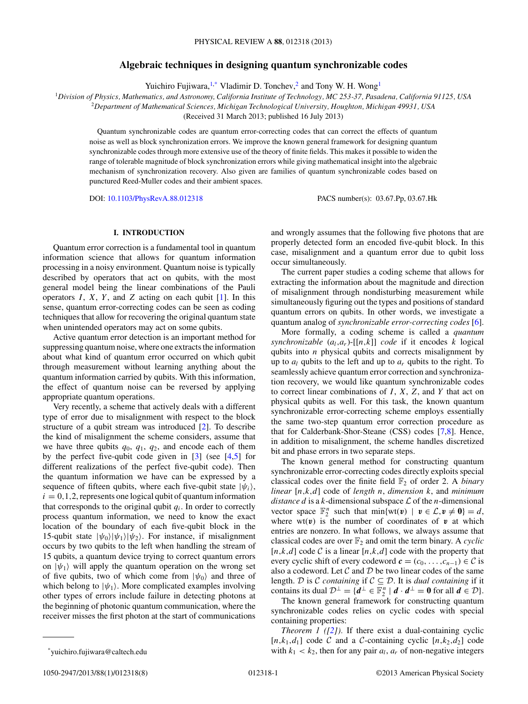# **Algebraic techniques in designing quantum synchronizable codes**

Yuichiro Fujiwara,<sup>1,\*</sup> Vladimir D. Tonchev,<sup>2</sup> and Tony W. H. Wong<sup>1</sup>

<span id="page-0-0"></span><sup>1</sup>*Division of Physics, Mathematics, and Astronomy, California Institute of Technology, MC 253-37, Pasadena, California 91125, USA*

<sup>2</sup>*Department of Mathematical Sciences, Michigan Technological University, Houghton, Michigan 49931, USA*

(Received 31 March 2013; published 16 July 2013)

Quantum synchronizable codes are quantum error-correcting codes that can correct the effects of quantum noise as well as block synchronization errors. We improve the known general framework for designing quantum synchronizable codes through more extensive use of the theory of finite fields. This makes it possible to widen the range of tolerable magnitude of block synchronization errors while giving mathematical insight into the algebraic mechanism of synchronization recovery. Also given are families of quantum synchronizable codes based on punctured Reed-Muller codes and their ambient spaces.

DOI: [10.1103/PhysRevA.88.012318](http://dx.doi.org/10.1103/PhysRevA.88.012318) PACS number(s): 03*.*67*.*Pp, 03*.*67*.*Hk

## **I. INTRODUCTION**

Quantum error correction is a fundamental tool in quantum information science that allows for quantum information processing in a noisy environment. Quantum noise is typically described by operators that act on qubits, with the most general model being the linear combinations of the Pauli operators  $I$ ,  $X$ ,  $Y$ , and  $Z$  acting on each qubit  $[1]$ . In this sense, quantum error-correcting codes can be seen as coding techniques that allow for recovering the original quantum state when unintended operators may act on some qubits.

Active quantum error detection is an important method for suppressing quantum noise, where one extracts the information about what kind of quantum error occurred on which qubit through measurement without learning anything about the quantum information carried by qubits. With this information, the effect of quantum noise can be reversed by applying appropriate quantum operations.

Very recently, a scheme that actively deals with a different type of error due to misalignment with respect to the block structure of a qubit stream was introduced [\[2\]](#page-7-0). To describe the kind of misalignment the scheme considers, assume that we have three qubits *q*0, *q*1, *q*2, and encode each of them by the perfect five-qubit code given in [\[3\]](#page-7-0) (see [\[4,5\]](#page-7-0) for different realizations of the perfect five-qubit code). Then the quantum information we have can be expressed by a sequence of fifteen qubits, where each five-qubit state  $|\psi_i\rangle$ ,  $i = 0, 1, 2$ , represents one logical qubit of quantum information that corresponds to the original qubit  $q_i$ . In order to correctly process quantum information, we need to know the exact location of the boundary of each five-qubit block in the 15-qubit state  $|\psi_0\rangle |\psi_1\rangle |\psi_2\rangle$ . For instance, if misalignment occurs by two qubits to the left when handling the stream of 15 qubits, a quantum device trying to correct quantum errors on  $|\psi_1\rangle$  will apply the quantum operation on the wrong set of five qubits, two of which come from  $|\psi_0\rangle$  and three of which belong to  $|\psi_1\rangle$ . More complicated examples involving other types of errors include failure in detecting photons at the beginning of photonic quantum communication, where the receiver misses the first photon at the start of communications

and wrongly assumes that the following five photons that are properly detected form an encoded five-qubit block. In this case, misalignment and a quantum error due to qubit loss occur simultaneously.

The current paper studies a coding scheme that allows for extracting the information about the magnitude and direction of misalignment through nondisturbing measurement while simultaneously figuring out the types and positions of standard quantum errors on qubits. In other words, we investigate a quantum analog of *synchronizable error-correcting codes* [\[6\]](#page-7-0).

More formally, a coding scheme is called a *quantum synchronizable*  $(a_l, a_r)$ -[[ $n, k$ ]] *code* if it encodes *k* logical qubits into *n* physical qubits and corrects misalignment by up to  $a_l$  qubits to the left and up to  $a_r$  qubits to the right. To seamlessly achieve quantum error correction and synchronization recovery, we would like quantum synchronizable codes to correct linear combinations of *I* , *X*, *Z*, and *Y* that act on physical qubits as well. For this task, the known quantum synchronizable error-correcting scheme employs essentially the same two-step quantum error correction procedure as that for Calderbank-Shor-Steane (CSS) codes [\[7,8\]](#page-7-0). Hence, in addition to misalignment, the scheme handles discretized bit and phase errors in two separate steps.

The known general method for constructing quantum synchronizable error-correcting codes directly exploits special classical codes over the finite field  $\mathbb{F}_2$  of order 2. A *binary linear* [*n,k,d*] code of *length n*, *dimension k*, and *minimum distance d* is a *k*-dimensional subspace  $\mathcal L$  of the *n*-dimensional vector space  $\mathbb{F}_2^n$  such that min{wt(*v*) |  $v \in \mathcal{L}, v \neq 0$ } = *d*, where  $wt(v)$  is the number of coordinates of  $v$  at which entries are nonzero. In what follows, we always assume that classical codes are over  $\mathbb{F}_2$  and omit the term binary. A *cyclic*  $[n,k,d]$  code C is a linear  $[n,k,d]$  code with the property that every cyclic shift of every codeword  $\mathbf{c} = (c_0, \ldots, c_{n-1}) \in \mathcal{C}$  is also a codeword. Let  $C$  and  $D$  be two linear codes of the same length. D is C *containing* if  $C \subseteq D$ . It is *dual containing* if it contains its dual  $\mathcal{D}^{\perp} = \{d^{\perp} \in \mathbb{F}_2^n \mid d \cdot d^{\perp} = 0 \text{ for all } d \in \mathcal{D}\}.$ 

The known general framework for constructing quantum synchronizable codes relies on cyclic codes with special containing properties:

*Theorem 1 ([\[2\]](#page-7-0)).* If there exist a dual-containing cyclic [ $n, k_1, d_1$ ] code C and a C-containing cyclic [ $n, k_2, d_2$ ] code with  $k_1 < k_2$ , then for any pair  $a_l$ ,  $a_r$  of non-negative integers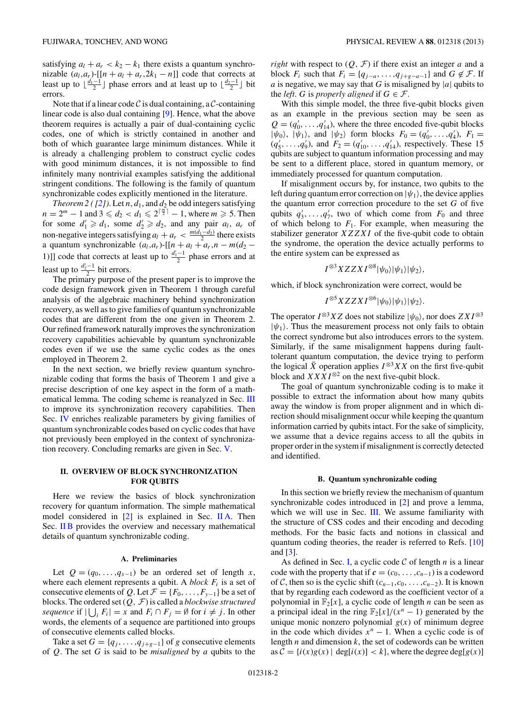<span id="page-1-0"></span>satisfying  $a_l + a_r < k_2 - k_1$  there exists a quantum synchronizable  $(a_l, a_r)$ -[[ $n + a_l + a_r$ ,  $2k_1 - n$ ]] code that corrects at least up to  $\lfloor \frac{d_1-1}{2} \rfloor$  phase errors and at least up to  $\lfloor \frac{d_2-1}{2} \rfloor$  bit errors.

Note that if a linear code  $\mathcal C$  is dual containing, a  $\mathcal C$ -containing linear code is also dual containing [\[9\]](#page-7-0). Hence, what the above theorem requires is actually a pair of dual-containing cyclic codes, one of which is strictly contained in another and both of which guarantee large minimum distances. While it is already a challenging problem to construct cyclic codes with good minimum distances, it is not impossible to find infinitely many nontrivial examples satisfying the additional stringent conditions. The following is the family of quantum synchronizable codes explicitly mentioned in the literature.

*Theorem 2 (* $[2]$ *)*. Let *n*,  $d_1$ , and  $d_2$  be odd integers satisfying  $n = 2^m - 1$  and  $3 \le d_2 < d_1 \le 2^{\lceil \frac{m}{2} \rceil} - 1$ , where  $m \ge 5$ . Then for some  $d'_1 \ge d_1$ , some  $d'_2 \ge d_2$ , and any pair  $a_l$ ,  $a_r$  of non-negative integers satisfying  $a_l + a_r < \frac{m(d_1 - d_2)}{2}$  there exists a quantum synchronizable  $(a_l, a_r)$ -[[ $n + a_l + a_r, n - m(d_2 -$ 1)]] code that corrects at least up to  $\frac{d_1 - 1}{2}$  phase errors and at least up to  $\frac{d'_2-1}{2}$  bit errors.

The primary purpose of the present paper is to improve the code design framework given in Theorem 1 through careful analysis of the algebraic machinery behind synchronization recovery, as well as to give families of quantum synchronizable codes that are different from the one given in Theorem 2. Our refined framework naturally improves the synchronization recovery capabilities achievable by quantum synchronizable codes even if we use the same cyclic codes as the ones employed in Theorem 2.

In the next section, we briefly review quantum synchronizable coding that forms the basis of Theorem 1 and give a precise description of one key aspect in the form of a math-ematical lemma. The coding scheme is reanalyzed in Sec. [III](#page-3-0) to improve its synchronization recovery capabilities. Then Sec. [IV](#page-4-0) enriches realizable parameters by giving families of quantum synchronizable codes based on cyclic codes that have not previously been employed in the context of synchronization recovery. Concluding remarks are given in Sec. [V.](#page-6-0)

## **II. OVERVIEW OF BLOCK SYNCHRONIZATION FOR QUBITS**

Here we review the basics of block synchronization recovery for quantum information. The simple mathematical model considered in [\[2\]](#page-7-0) is explained in Sec. II A. Then Sec. II B provides the overview and necessary mathematical details of quantum synchronizable coding.

#### **A. Preliminaries**

Let  $Q = (q_0, \ldots, q_{x-1})$  be an ordered set of length *x*, where each element represents a qubit. A *block*  $F_i$  is a set of consecutive elements of *Q*. Let  $\mathcal{F} = \{F_0, \ldots, F_{y-1}\}\)$  be a set of blocks. The ordered set (*Q,* F) is called a *blockwise structured sequence* if  $|\bigcup_i F_i| = x$  and  $F_i \cap F_j = \emptyset$  for  $i \neq j$ . In other words, the elements of a sequence are partitioned into groups of consecutive elements called blocks.

Take a set  $G = \{q_j, \ldots, q_{j+g-1}\}\$  of *g* consecutive elements of *Q*. The set *G* is said to be *misaligned* by *a* qubits to the *right* with respect to  $(Q, \mathcal{F})$  if there exist an integer *a* and a block  $F_i$  such that  $F_i = \{q_{j-a}, \ldots, q_{j+g-a-1}\}\$  and  $G \notin \mathcal{F}$ . If *a* is negative, we may say that *G* is misaligned by  $|a|$  qubits to the *left*. *G* is *properly aligned* if  $G \in \mathcal{F}$ .

With this simple model, the three five-qubit blocks given as an example in the previous section may be seen as  $Q = (q'_0, \ldots, q'_{14})$ , where the three encoded five-qubit blocks  $|\psi_0\rangle$ ,  $|\psi_1\rangle$ , and  $|\psi_2\rangle$  form blocks  $F_0 = (q'_0, \ldots, q'_4)$ ,  $F_1 =$  $(q'_5, \ldots, q'_9)$ , and  $F_2 = (q'_{10}, \ldots, q'_{14})$ , respectively. These 15 qubits are subject to quantum information processing and may be sent to a different place, stored in quantum memory, or immediately processed for quantum computation.

If misalignment occurs by, for instance, two qubits to the left during quantum error correction on  $|\psi_1\rangle$ , the device applies the quantum error correction procedure to the set *G* of five qubits  $q'_3, \ldots, q'_7$ , two of which come from  $F_0$  and three of which belong to  $F_1$ . For example, when measuring the stabilizer generator *XZZXI* of the five-qubit code to obtain the syndrome, the operation the device actually performs to the entire system can be expressed as

$$
I^{\otimes 3}XZZXI^{\otimes 8}|\psi_0\rangle|\psi_1\rangle|\psi_2\rangle,
$$

which, if block synchronization were correct, would be

$$
I^{\otimes 5}XZZXI^{\otimes 6}|\psi_0\rangle|\psi_1\rangle|\psi_2\rangle.
$$

The operator  $I^{\otimes 3}XZ$  does not stabilize  $|\psi_0\rangle$ , nor does  $ZXI^{\otimes 3}$  $|\psi_1\rangle$ . Thus the measurement process not only fails to obtain the correct syndrome but also introduces errors to the system. Similarly, if the same misalignment happens during faulttolerant quantum computation, the device trying to perform the logical  $\bar{X}$  operation applies  $I^{\otimes 3}XX$  on the first five-qubit block and  $XXXI^{\otimes 2}$  on the next five-qubit block.

The goal of quantum synchronizable coding is to make it possible to extract the information about how many qubits away the window is from proper alignment and in which direction should misalignment occur while keeping the quantum information carried by qubits intact. For the sake of simplicity, we assume that a device regains access to all the qubits in proper order in the system if misalignment is correctly detected and identified.

### **B. Quantum synchronizable coding**

In this section we briefly review the mechanism of quantum synchronizable codes introduced in [\[2\]](#page-7-0) and prove a lemma, which we will use in Sec. [III.](#page-3-0) We assume familiarity with the structure of CSS codes and their encoding and decoding methods. For the basic facts and notions in classical and quantum coding theories, the reader is referred to Refs. [\[10\]](#page-7-0) and [\[3\]](#page-7-0).

As defined in Sec. [I,](#page-0-0) a cyclic code C of length *n* is a linear code with the property that if  $\mathbf{c} = (c_0, \ldots, c_{n-1})$  is a codeword of C, then so is the cyclic shift  $(c_{n-1}, c_0, \ldots, c_{n-2})$ . It is known that by regarding each codeword as the coefficient vector of a polynomial in  $\mathbb{F}_2[x]$ , a cyclic code of length *n* can be seen as a principal ideal in the ring  $\mathbb{F}_2[x]/(x^n-1)$  generated by the unique monic nonzero polynomial  $g(x)$  of minimum degree in the code which divides  $x^n - 1$ . When a cyclic code is of length *n* and dimension *k*, the set of codewords can be written as  $\mathcal{C} = \{i(x)g(x) \mid \text{deg}[i(x)] < k\}$ , where the degree deg[ $g(x)$ ]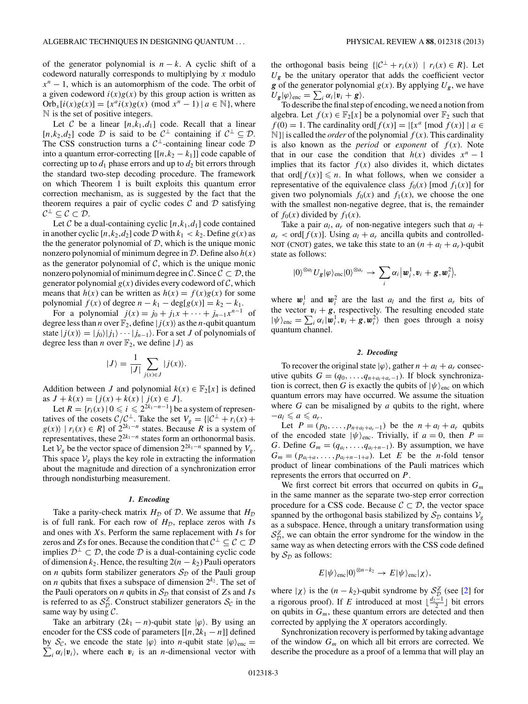<span id="page-2-0"></span>of the generator polynomial is  $n - k$ . A cyclic shift of a codeword naturally corresponds to multiplying by *x* modulo  $x^n - 1$ , which is an automorphism of the code. The orbit of a given codeword  $i(x)g(x)$  by this group action is written as Orb<sub>*x*</sub>[ $i(x)g(x)$ ] = { $x^a i(x)g(x)$  (mod  $x^n - 1$ ) |  $a \in \mathbb{N}$ }, where N is the set of positive integers.

Let C be a linear  $[n,k_1,d_1]$  code. Recall that a linear [ $n,k_2,d_2$ ] code  $\mathcal D$  is said to be  $\mathcal C^{\perp}$  containing if  $\mathcal C^{\perp} \subseteq \mathcal D$ . The CSS construction turns a  $C^{\perp}$ -containing linear code  $D$ into a quantum error-correcting  $[[n,k_2 - k_1]]$  code capable of correcting up to  $d_1$  phase errors and up to  $d_2$  bit errors through the standard two-step decoding procedure. The framework on which Theorem 1 is built exploits this quantum error correction mechanism, as is suggested by the fact that the theorem requires a pair of cyclic codes  $\mathcal C$  and  $\mathcal D$  satisfying  $\mathcal{C}^{\perp} \subseteq \mathcal{C} \subset \mathcal{D}$ .

Let C be a dual-containing cyclic  $[n,k_1,d_1]$  code contained in another cyclic  $[n,k_2,d_2]$  code  $D$  with  $k_1 < k_2$ . Define  $g(x)$  as the the generator polynomial of  $D$ , which is the unique monic nonzero polynomial of minimum degree in D. Define also *h*(*x*) as the generator polynomial of  $C$ , which is the unique monic nonzero polynomial of minimum degree in C. Since  $C \subset \mathcal{D}$ , the generator polynomial  $g(x)$  divides every codeword of  $\mathcal{C}$ , which means that  $h(x)$  can be written as  $h(x) = f(x)g(x)$  for some polynomial *f*(*x*) of degree  $n - k_1 - \deg[g(x)] = k_2 - k_1$ .

For a polynomial  $j(x) = j_0 + j_1x + \cdots + j_{n-1}x^{n-1}$  of degree less than *n* over  $\mathbb{F}_2$ , define  $|j(x)\rangle$  as the *n*-qubit quantum state  $|j(x)\rangle = |j_0\rangle|j_1\rangle \cdots |j_{n-1}\rangle$ . For a set *J* of polynomials of degree less than *n* over  $\mathbb{F}_2$ , we define  $|J\rangle$  as

$$
|J\rangle = \frac{1}{|J|} \sum_{j(x)\in J} |j(x)\rangle.
$$

Addition between *J* and polynomial  $k(x) \in \mathbb{F}_2[x]$  is defined as  $J + k(x) = \{j(x) + k(x) | j(x) \in J\}.$ 

Let  $R = \{r_i(x) | 0 \leq i \leq 2^{2k_1 - n - 1}\}$  be a system of representatives of the cosets  $C/C^{\perp}$ . Take the set  $V_g = {C^{\perp} + r_i(x)}$  $g(x)$  |  $r_i(x) \in R$  of  $2^{2k_1-n}$  states. Because *R* is a system of representatives, these  $2^{2k_1-n}$  states form an orthonormal basis. Let  $V_g$  be the vector space of dimension  $2^{2k_1-n}$  spanned by  $V_g$ . This space  $V_g$  plays the key role in extracting the information about the magnitude and direction of a synchronization error through nondisturbing measurement.

#### *1. Encoding*

Take a parity-check matrix  $H<sub>D</sub>$  of D. We assume that  $H<sub>D</sub>$ is of full rank. For each row of  $H<sub>D</sub>$ , replace zeros with *I* s and ones with *X*s. Perform the same replacement with *I* s for zeros and *Z*s for ones. Because the condition that  $C^{\perp} \subset C \subset \mathcal{D}$ implies  $\mathcal{D}^{\perp} \subset \mathcal{D}$ , the code  $\mathcal D$  is a dual-containing cyclic code of dimension  $k_2$ . Hence, the resulting  $2(n - k_2)$  Pauli operators on *n* qubits form stabilizer generators  $S_{\mathcal{D}}$  of the Pauli group on *n* qubits that fixes a subspace of dimension  $2^{k_2}$ . The set of the Pauli operators on *n* qubits in  $S_p$  that consist of *Zs* and *Is* is referred to as  $S_{\mathcal{D}}^Z$ . Construct stabilizer generators  $S_{\mathcal{C}}$  in the same way by using  $\mathcal{C}$ .

Take an arbitrary  $(2k_1 - n)$ -qubit state  $|\varphi\rangle$ . By using an encoder for the CSS code of parameters  $[[n,2k_1 - n]]$  defined by  $S_c$ , we encode the state  $|\varphi\rangle$  into *n*-qubit state  $|\varphi\rangle_{\text{enc}} =$  $\sum_i \alpha_i |v_i\rangle$ , where each  $v_i$  is an *n*-dimensional vector with

the orthogonal basis being  $\{|\mathcal{C}^{\perp} + r_i(x)\rangle \mid r_i(x) \in R\}$ . Let  $U_g$  be the unitary operator that adds the coefficient vector *g* of the generator polynomial  $g(x)$ . By applying  $U_g$ , we have  $U_{\mathbf{g}}|\varphi\rangle_{\text{enc}} = \sum_{i} \alpha_{i}|\mathbf{v}_{i} + \mathbf{g}\rangle.$ 

To describe the final step of encoding, we need a notion from algebra. Let  $f(x) \in \mathbb{F}_2[x]$  be a polynomial over  $\mathbb{F}_2$  such that  $f(0) = 1$ . The cardinality ord $[f(x)] = |\{x^a \pmod{f(x)}\} | a \in$  $\mathbb{N}$  | is called the *order* of the polynomial  $f(x)$ . This cardinality is also known as the *period* or *exponent* of  $f(x)$ . Note that in our case the condition that  $h(x)$  divides  $x^n - 1$ implies that its factor  $f(x)$  also divides it, which dictates that ord $[f(x)] \leq n$ . In what follows, when we consider a representative of the equivalence class  $f_0(x)$  [mod  $f_1(x)$ ] for given two polynomials  $f_0(x)$  and  $f_1(x)$ , we choose the one with the smallest non-negative degree, that is, the remainder of  $f_0(x)$  divided by  $f_1(x)$ .

Take a pair  $a_l$ ,  $a_r$  of non-negative integers such that  $a_l$  +  $a_r$  < ord[ $f(x)$ ]. Using  $a_l + a_r$  ancilla qubits and controlled-NOT (CNOT) gates, we take this state to an  $(n + a_l + a_r)$ -qubit state as follows:

$$
|0\rangle^{\otimes a_i} U_{\mathbf{g}} |\varphi\rangle_{\text{enc}} |0\rangle^{\otimes a_r} \rightarrow \sum_i \alpha_i |\mathbf{w}_i^1, \mathbf{v}_i + \mathbf{g}, \mathbf{w}_i^2|,
$$

where  $\mathbf{w}_i^1$  and  $\mathbf{w}_i^2$  are the last  $a_l$  and the first  $a_r$  bits of the vector  $v_i + g$ , respectively. The resulting encoded state  $|\psi\rangle_{\text{enc}} = \sum_{i} \alpha_i |\mathbf{w}_i^1, \mathbf{v}_i + \mathbf{g}, \mathbf{w}_i^2\rangle$  then goes through a noisy quantum channel.

### *2. Decoding*

To recover the original state  $|\varphi\rangle$ , gather  $n + a_l + a_r$  consecutive qubits  $G = (q_0, \ldots, q_{n+a_l+a_r-1})$ . If block synchronization is correct, then *G* is exactly the qubits of  $|\psi\rangle$ <sub>enc</sub> on which quantum errors may have occurred. We assume the situation where *G* can be misaligned by *a* qubits to the right, where  $-a_l \leqslant a \leqslant a_r.$ 

Let  $P = (p_0, ..., p_{n+a_l+a_r-1})$  be the  $n + a_l + a_r$  qubits of the encoded state  $|\psi\rangle$ <sub>enc</sub>. Trivially, if  $a = 0$ , then  $P =$ *G*. Define  $G_m = (q_{a_1}, \ldots, q_{a_l+n-1})$ . By assumption, we have  $G_m = (p_{a_1+a}, \ldots, p_{a_l+n-1+a})$ . Let *E* be the *n*-fold tensor product of linear combinations of the Pauli matrices which represents the errors that occurred on *P*.

We first correct bit errors that occurred on qubits in *Gm* in the same manner as the separate two-step error correction procedure for a CSS code. Because  $C \subset \mathcal{D}$ , the vector space spanned by the orthogonal basis stabilized by  $S_{\mathcal{D}}$  contains  $V_g$ as a subspace. Hence, through a unitary transformation using  $S_{\mathcal{D}}^Z$ , we can obtain the error syndrome for the window in the same way as when detecting errors with the CSS code defined by  $S_{\mathcal{D}}$  as follows:

$$
E|\psi\rangle_{\text{enc}}|0\rangle^{\otimes n-k_2} \to E|\psi\rangle_{\text{enc}}|\chi\rangle,
$$

where  $|\chi\rangle$  is the  $(n - k_2)$ -qubit syndrome by  $S_{\text{D}}^Z$  (see [\[2\]](#page-7-0) for a rigorous proof). If *E* introduced at most  $\lfloor \frac{d_2-1}{2} \rfloor$  bit errors on qubits in  $G_m$ , these quantum errors are detected and then corrected by applying the *X* operators accordingly.

Synchronization recovery is performed by taking advantage of the window  $G_m$  on which all bit errors are corrected. We describe the procedure as a proof of a lemma that will play an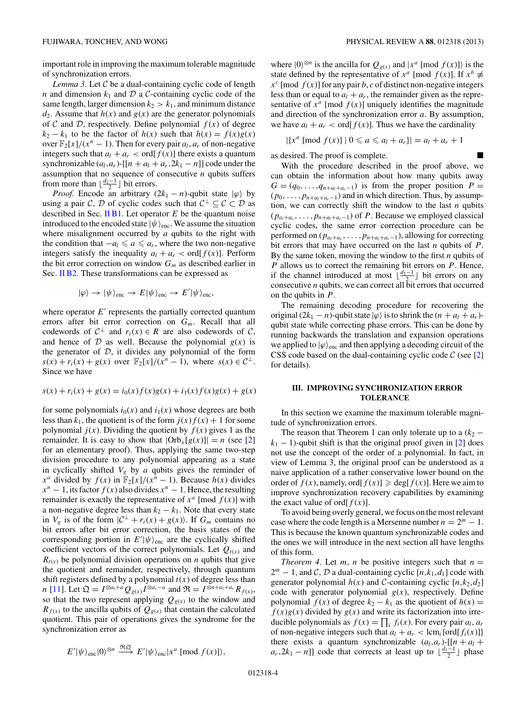<span id="page-3-0"></span>important role in improving the maximum tolerable magnitude of synchronization errors.

*Lemma 3.* Let  $C$  be a dual-containing cyclic code of length *n* and dimension  $k_1$  and  $D$  a  $C$ -containing cyclic code of the same length, larger dimension  $k_2 > k_1$ , and minimum distance  $d_2$ . Assume that  $h(x)$  and  $g(x)$  are the generator polynomials of C and D, respectively. Define polynomial  $f(x)$  of degree  $k_2 - k_1$  to be the factor of  $h(x)$  such that  $h(x) = f(x)g(x)$ over  $\mathbb{F}_2[x]/(x^n - 1)$ . Then for every pair  $a_l$ ,  $a_r$  of non-negative integers such that  $a_l + a_r < \text{ord}[f(x)]$  there exists a quantum synchronizable  $(a_l, a_r)$ -[[ $n + a_l + a_r$ ,  $2k_1 - n$ ]] code under the assumption that no sequence of consecutive *n* qubits suffers from more than  $\lfloor \frac{d_2-1}{2} \rfloor$  bit errors.

*Proof.* Encode an arbitrary  $(2k_1 - n)$ -qubit state  $|\varphi\rangle$  by using a pair C, D of cyclic codes such that  $C^{\perp} \subseteq C \subset D$  as described in Sec. [II B1.](#page-2-0) Let operator *E* be the quantum noise introduced to the encoded state  $|\psi\rangle$ <sub>enc</sub>. We assume the situation where misalignment occurred by *a* qubits to the right with the condition that  $-a_l \leq a \leq a_r$ , where the two non-negative integers satisfy the inequality  $a_l + a_r < \text{ord}[f(x)]$ . Perform the bit error correction on window *Gm* as described earlier in Sec. [II B2.](#page-2-0) These transformations can be expressed as

$$
|\varphi\rangle \rightarrow |\psi\rangle_{\text{enc}} \rightarrow E|\psi\rangle_{\text{enc}} \rightarrow E'|\psi\rangle_{\text{enc}},
$$

where operator  $E'$  represents the partially corrected quantum errors after bit error correction on *Gm*. Recall that all codewords of  $C^{\perp}$  and  $r_i(x) \in R$  are also codewords of C, and hence of  $D$  as well. Because the polynomial  $g(x)$  is the generator of  $D$ , it divides any polynomial of the form *s*(*x*) + *r<sub>i</sub>*(*x*) + *g*(*x*) over  $\mathbb{F}_2[x]/(x^n - 1)$ , where *s*(*x*) ∈  $\mathcal{C}^{\perp}$ . Since we have

$$
s(x) + ri(x) + g(x) = i0(x) f(x)g(x) + i1(x) f(x)g(x) + g(x)
$$

for some polynomials  $i_0(x)$  and  $i_1(x)$  whose degrees are both less than  $k_1$ , the quotient is of the form  $j(x) f(x) + 1$  for some polynomial  $j(x)$ . Dividing the quotient by  $f(x)$  gives 1 as the remainder. It is easy to show that  $|Orb_x[g(x)]| = n$  (see [\[2\]](#page-7-0) for an elementary proof). Thus, applying the same two-step division procedure to any polynomial appearing as a state in cyclically shifted  $V_g$  by  $a$  qubits gives the reminder of *x<sup>a</sup>* divided by  $f(x)$  in  $\mathbb{F}_2[x]/(x^n - 1)$ . Because  $h(x)$  divides  $x^n - 1$ , its factor  $f(x)$  also divides  $x^n - 1$ . Hence, the resulting remainder is exactly the representative of  $x^a$  [mod  $f(x)$ ] with a non-negative degree less than  $k_2 - k_1$ . Note that every state in  $V_g$  is of the form  $|C^{\perp} + r_i(x) + g(x)$ . If  $G_m$  contains no bit errors after bit error correction, the basis states of the corresponding portion in  $E'|\psi\rangle_{\text{enc}}$  are the cyclically shifted coefficient vectors of the correct polynomials. Let  $Q_{t(x)}$  and  $R_{t(x)}$  be polynomial division operations on *n* qubits that give the quotient and remainder, respectively, through quantum shift registers defined by a polynomial  $t(x)$  of degree less than *n* [\[11\]](#page-7-0). Let  $\Omega = I^{\otimes a_1 + a} Q_{g(x)} I^{\otimes a_r - a}$  and  $\mathfrak{R} = I^{\otimes n + a_1 + a_r} R_{f(x)}$ , so that the two represent applying  $Q_{g(x)}$  to the window and  $R_{f(x)}$  to the ancilla qubits of  $Q_{g(x)}$  that contain the calculated quotient. This pair of operations gives the syndrome for the synchronization error as

$$
E'|\psi\rangle_{\text{enc}}|0\rangle^{\otimes n} \stackrel{\mathfrak{R}\mathfrak{Q}}{\longrightarrow} E'|\psi\rangle_{\text{enc}}|x^a \pmod{f(x)}\rangle,
$$

where  $|0\rangle^{\otimes n}$  is the ancilla for  $Q_{g(x)}$  and  $|x^a \pmod{f(x)}$  is the state defined by the representative of  $x^a$  [mod  $f(x)$ ]. If  $x^b \neq$  $x^c$  [mod  $f(x)$ ] for any pair *b*, *c* of distinct non-negative integers less than or equal to  $a_l + a_r$ , the remainder given as the representative of  $x^a$  [mod  $f(x)$ ] uniquely identifies the magnitude and direction of the synchronization error *a*. By assumption, we have  $a_l + a_r < \text{ord}[f(x)]$ . Thus we have the cardinality

$$
|\{x^a \; [\text{mod } f(x)] \mid 0 \leq a \leq a_l + a_r\}| = a_l + a_r + 1
$$

as desired. The proof is complete.

With the procedure described in the proof above, we can obtain the information about how many qubits away  $G = (q_0, \ldots, q_{n+a_l+a_r-1})$  is from the proper position  $P =$  $(p_0, \ldots, p_{n+a_l+a_r-1})$  and in which direction. Thus, by assumption, we can correctly shift the window to the last *n* qubits  $(p_{a_1+a_r}, \ldots, p_{n+a_l+a_r-1})$  of *P*. Because we employed classical cyclic codes, the same error correction procedure can be performed on ( $p_{a_l+a_r}, \ldots, p_{n+a_l+a_r-1}$ ), allowing for correcting bit errors that may have occurred on the last *n* qubits of *P*. By the same token, moving the window to the first *n* qubits of *P* allows us to correct the remaining bit errors on *P*. Hence, if the channel introduced at most  $\lfloor \frac{d_2-1}{2} \rfloor$  bit errors on any consecutive *n* qubits, we can correct all bit errors that occurred on the qubits in *P*.

The remaining decoding procedure for recovering the original  $(2k_1 - n)$ -qubit state  $|\varphi\rangle$  is to shrink the  $(n + a_l + a_r)$ qubit state while correcting phase errors. This can be done by running backwards the translation and expansion operations we applied to  $|\varphi\rangle$ <sub>enc</sub> and then applying a decoding circuit of the CSS code based on the dual-containing cyclic code  $\mathcal{C}$  (see [\[2\]](#page-7-0) for details).

# **III. IMPROVING SYNCHRONIZATION ERROR TOLERANCE**

In this section we examine the maximum tolerable magnitude of synchronization errors.

The reason that Theorem 1 can only tolerate up to a  $(k_2$  $k_1 - 1$ )-qubit shift is that the original proof given in [\[2\]](#page-7-0) does not use the concept of the order of a polynomial. In fact, in view of Lemma 3, the original proof can be understood as a naive application of a rather conservative lower bound on the order of  $f(x)$ , namely, ord $[f(x)] \ge \deg[f(x)]$ . Here we aim to improve synchronization recovery capabilities by examining the exact value of ord $[f(x)]$ .

To avoid being overly general, we focus on the most relevant case where the code length is a Mersenne number  $n = 2<sup>m</sup> - 1$ . This is because the known quantum synchronizable codes and the ones we will introduce in the next section all have lengths of this form.

*Theorem 4.* Let *m*, *n* be positive integers such that  $n =$  $2^m - 1$ , and C, D a dual-containing cyclic  $[n, k_1, d_1]$  code with generator polynomial  $h(x)$  and C-containing cyclic  $[n,k_2,d_2]$ code with generator polynomial  $g(x)$ , respectively. Define polynomial  $f(x)$  of degree  $k_2 - k_1$  as the quotient of  $h(x) =$  $f(x)g(x)$  divided by  $g(x)$  and write its factorization into irreducible polynomials as  $f(x) = \prod_i f_i(x)$ . For every pair  $a_i$ ,  $a_r$ of non-negative integers such that  $a_l + a_r < \text{lcm}_i \{\text{ord}[f_i(x)]\}$ there exists a quantum synchronizable  $(a_l, a_r)$ -[[ $n + a_l +$  $a_r, 2k_1 - n$ ]] code that corrects at least up to  $\lfloor \frac{d_1 - 1}{2} \rfloor$  phase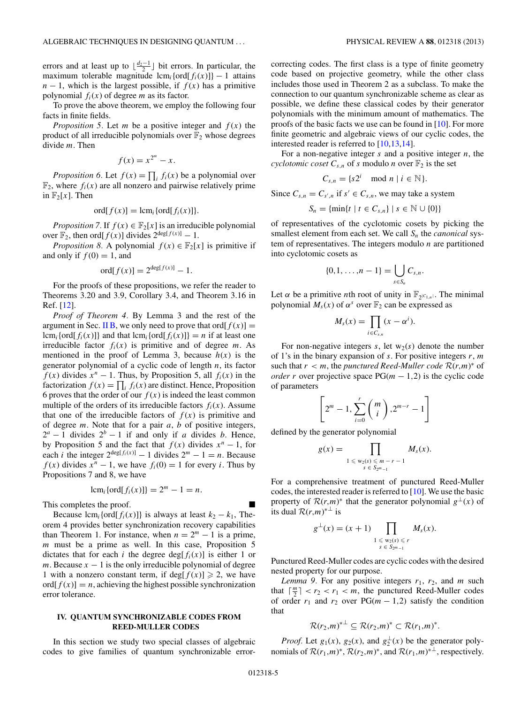<span id="page-4-0"></span>errors and at least up to  $\lfloor \frac{d_2-1}{2} \rfloor$  bit errors. In particular, the maximum tolerable magnitude  $lcm_i$  {ord[ $f_i(x)$ ]} – 1 attains  $n - 1$ , which is the largest possible, if  $f(x)$  has a primitive polynomial  $f_i(x)$  of degree *m* as its factor.

To prove the above theorem, we employ the following four facts in finite fields.

*Proposition 5.* Let *m* be a positive integer and  $f(x)$  the product of all irreducible polynomials over  $\mathbb{F}_2$  whose degrees divide *m*. Then

$$
f(x) = x^{2^m} - x.
$$

*Proposition 6.* Let  $f(x) = \prod_i f_i(x)$  be a polynomial over  $\mathbb{F}_2$ , where  $f_i(x)$  are all nonzero and pairwise relatively prime in  $\mathbb{F}_2[x]$ . Then

$$
\operatorname{ord}[f(x)] = \operatorname{lcm}_i\{\operatorname{ord}[f_i(x)]\}.
$$

*Proposition* 7. If  $f(x) \in \mathbb{F}_2[x]$  is an irreducible polynomial over  $\mathbb{F}_2$ , then ord[ $f(x)$ ] divides  $2^{\deg[f(x)]} - 1$ .

*Proposition 8.* A polynomial  $f(x) \in \mathbb{F}_2[x]$  is primitive if and only if  $f(0) = 1$ , and

$$
\operatorname{ord}[f(x)] = 2^{\deg[f(x)]} - 1.
$$

For the proofs of these propositions, we refer the reader to Theorems 3.20 and 3.9, Corollary 3.4, and Theorem 3.16 in Ref. [\[12\]](#page-7-0).

*Proof of Theorem 4.* By Lemma 3 and the rest of the argument in Sec. [II B,](#page-1-0) we only need to prove that ord $[f(x)] =$  $lcm_i$  {ord[ $f_i(x)$ ]} and that  $lcm_i$  {ord[ $f_i(x)$ ]} = *n* if at least one irreducible factor  $f_i(x)$  is primitive and of degree *m*. As mentioned in the proof of Lemma 3, because  $h(x)$  is the generator polynomial of a cyclic code of length *n*, its factor *f*(*x*) divides  $x^n - 1$ . Thus, by Proposition 5, all  $f_i(x)$  in the factorization  $f(x) = \prod_i f_i(x)$  are distinct. Hence, Proposition 6 proves that the order of our  $f(x)$  is indeed the least common multiple of the orders of its irreducible factors  $f_i(x)$ . Assume that one of the irreducible factors of  $f(x)$  is primitive and of degree *m*. Note that for a pair *a*, *b* of positive integers,  $2^a - 1$  divides  $2^b - 1$  if and only if *a* divides *b*. Hence, by Proposition 5 and the fact that  $f(x)$  divides  $x^n - 1$ , for each *i* the integer  $2^{\deg[f_i(x)]} - 1$  divides  $2^m - 1 = n$ . Because *f*(*x*) divides  $x^n - 1$ , we have  $f_i(0) = 1$  for every *i*. Thus by Propositions 7 and 8, we have

$$
\operatorname{lcm}_i\{\operatorname{ord}[f_i(x)]\} = 2^m - 1 = n.
$$

This completes the proof.

Because  $\text{lcm}_i\{\text{ord}[f_i(x)]\}$  is always at least  $k_2 - k_1$ , Theorem 4 provides better synchronization recovery capabilities than Theorem 1. For instance, when  $n = 2<sup>m</sup> - 1$  is a prime, *m* must be a prime as well. In this case, Proposition 5 dictates that for each *i* the degree deg[ $f_i(x)$ ] is either 1 or *m*. Because  $x - 1$  is the only irreducible polynomial of degree 1 with a nonzero constant term, if deg[ $f(x)$ ]  $\ge 2$ , we have  $\text{ord}[f(x)] = n$ , achieving the highest possible synchronization error tolerance.

### **IV. QUANTUM SYNCHRONIZABLE CODES FROM REED-MULLER CODES**

In this section we study two special classes of algebraic codes to give families of quantum synchronizable errorcorrecting codes. The first class is a type of finite geometry code based on projective geometry, while the other class includes those used in Theorem 2 as a subclass. To make the connection to our quantum synchronizable scheme as clear as possible, we define these classical codes by their generator polynomials with the minimum amount of mathematics. The proofs of the basic facts we use can be found in [\[10\]](#page-7-0). For more finite geometric and algebraic views of our cyclic codes, the interested reader is referred to [\[10,13,14\]](#page-7-0).

For a non-negative integer *s* and a positive integer *n*, the *cyclotomic coset*  $C_{s,n}$  of *s* modulo *n* over  $\mathbb{F}_2$  is the set

$$
C_{s,n} = \{s2^i \mod n \mid i \in \mathbb{N}\}.
$$

Since  $C_{s,n} = C_{s',n}$  if  $s' \in C_{s,n}$ , we may take a system

$$
S_n = \{ \min \{ t \mid t \in C_{s,n} \} \mid s \in \mathbb{N} \cup \{ 0 \} \}
$$

of representatives of the cyclotomic cosets by picking the smallest element from each set. We call  $S_n$  the *canonical* system of representatives. The integers modulo *n* are partitioned into cyclotomic cosets as

$$
\{0,1,\ldots,n-1\}=\bigcup_{s\in S_n}C_{s,n}.
$$

Let  $\alpha$  be a primitive *n*th root of unity in  $\mathbb{F}_{2|C_{1,n}|}$ . The minimal polynomial  $M_s(x)$  of  $\alpha^s$  over  $\mathbb{F}_2$  can be expressed as

$$
M_s(x) = \prod_{i \in C_{s,n}} (x - \alpha^i).
$$

For non-negative integers  $s$ , let  $w_2(s)$  denote the number of 1's in the binary expansion of *s*. For positive integers *r*, *m* such that  $r < m$ , the *punctured Reed-Muller code*  $\mathcal{R}(r,m)^*$  of *order r* over projective space  $PG(m - 1, 2)$  is the cyclic code of parameters

$$
\[2^m - 1, \sum_{i=0}^r \binom{m}{i}, 2^{m-r} - 1\]
$$

defined by the generator polynomial

$$
g(x) = \prod_{\substack{1 \leqslant w_2(s) \leqslant m-r-1 \\ s \in S_{2m-1}}} M_s(x).
$$

For a comprehensive treatment of punctured Reed-Muller codes, the interested reader is referred to [\[10\]](#page-7-0). We use the basic property of  $\mathcal{R}(r,m)^*$  that the generator polynomial  $g^\perp(x)$  of its dual  $\mathcal{R}(r,m)^{*\perp}$  is

$$
g^{\perp}(x)=(x+1)\prod_{\substack{1\leqslant w_2(s)\leqslant r\\s\in S_{2^m-1}}}M_s(x).
$$

Punctured Reed-Muller codes are cyclic codes with the desired nested property for our purpose.

*Lemma 9.* For any positive integers  $r_1$ ,  $r_2$ , and  $m$  such that  $\lceil \frac{m}{2} \rceil < r_2 < r_1 < m$ , the punctured Reed-Muller codes of order  $r_1$  and  $r_2$  over PG( $m - 1, 2$ ) satisfy the condition that

$$
\mathcal{R}(r_2,m)^{* \perp} \subseteq \mathcal{R}(r_2,m)^* \subset \mathcal{R}(r_1,m)^*.
$$

*Proof.* Let  $g_1(x)$ ,  $g_2(x)$ , and  $g_2^{\perp}(x)$  be the generator polynomials of  $\mathcal{R}(r_1,m)^*$ ,  $\mathcal{R}(r_2,m)^*$ , and  $\mathcal{R}(r_1,m)^*^{\perp}$ , respectively.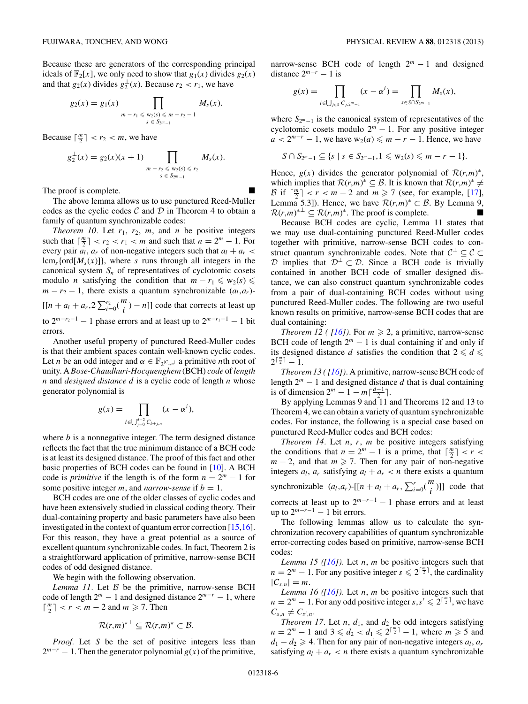Because these are generators of the corresponding principal ideals of  $\mathbb{F}_2[x]$ , we only need to show that  $g_1(x)$  divides  $g_2(x)$ and that  $g_2(x)$  divides  $g_2^{\perp}(x)$ . Because  $r_2 < r_1$ , we have

$$
g_2(x) = g_1(x) \prod_{m - r_1 \leqslant w_2(s) \leqslant m - r_2 - 1} M_s(x).
$$

Because  $\lceil \frac{m}{2} \rceil < r_2 < m$ , we have

$$
g_2^{\perp}(x) = g_2(x)(x+1) \prod_{\substack{m \ -r_2 \leq w_2(s) \leq r_2 \\ s \in S_{2^m-1}}} M_s(x).
$$

The proof is complete.

The above lemma allows us to use punctured Reed-Muller codes as the cyclic codes  $\mathcal C$  and  $\mathcal D$  in Theorem 4 to obtain a family of quantum synchronizable codes:

*Theorem 10.* Let  $r_1$ ,  $r_2$ ,  $m$ , and  $n$  be positive integers such that  $\lceil \frac{m}{2} \rceil < r_2 < r_1 < m$  and such that  $n = 2^m - 1$ . For every pair  $a_l$ ,  $a_r$  of non-negative integers such that  $a_l + a_r$  $lcm<sub>s</sub>$ {ord[ $M<sub>s</sub>(x)$ ]}, where *s* runs through all integers in the canonical system  $S_n$  of representatives of cyclotomic cosets modulo *n* satisfying the condition that  $m - r_1 \leq w_2(s) \leq$  $m - r_2 - 1$ , there exists a quantum synchronizable  $(a_l, a_r)$ - $[[n + a_l + a_r, 2\sum_{i=0}^{r_2} {m \choose i} - n]]$  code that corrects at least up to  $2^{m-r_2-1} - 1$  phase errors and at least up to  $2^{m-r_1-1} - 1$  bit errors.

Another useful property of punctured Reed-Muller codes is that their ambient spaces contain well-known cyclic codes. Let *n* be an odd integer and  $\alpha \in \mathbb{F}_{2^{|C|},n}$  a primitive *n*th root of unity. A *Bose-Chaudhuri-Hocquenghem* (BCH) *code* of*length n* and *designed distance d* is a cyclic code of length *n* whose generator polynomial is

$$
g(x) = \prod_{i \in \bigcup_{j=0}^{d-2} C_{b+j,n}} (x - \alpha^i),
$$

where *b* is a nonnegative integer. The term designed distance reflects the fact that the true minimum distance of a BCH code is at least its designed distance. The proof of this fact and other basic properties of BCH codes can be found in [\[10\]](#page-7-0). A BCH code is *primitive* if the length is of the form  $n = 2^m - 1$  for some positive integer *m*, and *narrow-sense* if  $b = 1$ .

BCH codes are one of the older classes of cyclic codes and have been extensively studied in classical coding theory. Their dual-containing property and basic parameters have also been investigated in the context of quantum error correction [\[15,16\]](#page-7-0). For this reason, they have a great potential as a source of excellent quantum synchronizable codes. In fact, Theorem 2 is a straightforward application of primitive, narrow-sense BCH codes of odd designed distance.

We begin with the following observation.

*Lemma 11.* Let  $\beta$  be the primitive, narrow-sense BCH code of length  $2^m - 1$  and designed distance  $2^{m-r} - 1$ , where  $\lceil \frac{m}{2} \rceil$  < *r* < *m* − 2 and *m*  $\geq$  7. Then

$$
\mathcal{R}(r,m)^{* \perp} \subseteq \mathcal{R}(r,m)^{*} \subset \mathcal{B}.
$$

*Proof.* Let *S* be the set of positive integers less than  $2^{m-r} - 1$ . Then the generator polynomial  $g(x)$  of the primitive,

narrow-sense BCH code of length  $2<sup>m</sup> - 1$  and designed distance  $2^{m-r} - 1$  is

$$
g(x) = \prod_{i \in \bigcup_{j \in S} C_{j,2^m-1}} (x - \alpha^i) = \prod_{s \in S \cap S_{2^m-1}} M_s(x),
$$

where *S*<sub>2<sup>*m*−1</sub> is the canonical system of representatives of the</sub></sup> cyclotomic cosets modulo  $2<sup>m</sup> - 1$ . For any positive integer  $a < 2^{m-r} - 1$ , we have  $w_2(a) \leq m - r - 1$ . Hence, we have

$$
S \cap S_{2^m-1} \subseteq \{s \mid s \in S_{2^m-1}, 1 \leq w_2(s) \leq m-r-1\}.
$$

Hence,  $g(x)$  divides the generator polynomial of  $\mathcal{R}(r,m)^*$ , which implies that  $\mathcal{R}(r,m)^* \subseteq \mathcal{B}$ . It is known that  $\mathcal{R}(r,m)^* \neq \emptyset$ B if  $\lceil \frac{m}{2} \rceil < r < m - 2$  and  $m \ge 7$  (see, for example, [\[17\]](#page-7-0), Lemma 5.3]). Hence, we have  $\mathcal{R}(r,m)^* \subset \mathcal{B}$ . By Lemma 9,  $\mathcal{R}(r,m)^* \subseteq \mathcal{R}(r,m)^*$ . The proof is complete.

Because BCH codes are cyclic, Lemma 11 states that we may use dual-containing punctured Reed-Muller codes together with primitive, narrow-sense BCH codes to construct quantum synchronizable codes. Note that  $C^{\perp} \subseteq C \subset$ D implies that  $\mathcal{D}^{\perp} \subset \mathcal{D}$ . Since a BCH code is trivially contained in another BCH code of smaller designed distance, we can also construct quantum synchronizable codes from a pair of dual-containing BCH codes without using punctured Reed-Muller codes. The following are two useful known results on primitive, narrow-sense BCH codes that are dual containing:

*Theorem 12 ( [\[16\]](#page-7-0))*. For  $m \ge 2$ , a primitive, narrow-sense BCH code of length  $2^m - 1$  is dual containing if and only if its designed distance *d* satisfies the condition that  $2 \le d \le$  $2^{\lceil \frac{m}{2} \rceil} - 1.$ 

*Theorem 13 ( [\[16\]](#page-7-0))*. A primitive, narrow-sense BCH code of length  $2^m - 1$  and designed distance *d* that is dual containing is of dimension  $2^m - 1 - m\left[\frac{d-1}{2}\right]$ .

By applying Lemmas 9 and 11 and Theorems 12 and 13 to Theorem 4, we can obtain a variety of quantum synchronizable codes. For instance, the following is a special case based on punctured Reed-Muller codes and BCH codes:

*Theorem 14.* Let *n*, *r*, *m* be positive integers satisfying the conditions that  $n = 2^m - 1$  is a prime, that  $\lceil \frac{m}{2} \rceil < r <$  $m - 2$ , and that  $m \ge 7$ . Then for any pair of non-negative integers  $a_l$ ,  $a_r$  satisfying  $a_l + a_r < n$  there exists a quantum synchronizable  $(a_l, a_r)$ -[[ $n + a_l + a_r$ ,  $\sum_{i=0}^r {m \choose i}$ ]] code that corrects at least up to  $2^{m-r-1} - 1$  phase errors and at least up to  $2^{m-r-1} - 1$  bit errors.

The following lemmas allow us to calculate the synchronization recovery capabilities of quantum synchronizable error-correcting codes based on primitive, narrow-sense BCH codes:

*Lemma 15 ([\[16\]](#page-7-0))*. Let *n*, *m* be positive integers such that  $n = 2^m - 1$ . For any positive integer  $s \le 2^{\lceil \frac{m}{2} \rceil}$ , the cardinality  $|C_{s,n}| = m$ .

*Lemma 16 ([\[16\]](#page-7-0))*. Let *n*, *m* be positive integers such that  $n = 2^m - 1$ . For any odd positive integer  $s, s' \leq 2^{\lceil \frac{m}{2} \rceil}$ , we have  $C_{s,n} \neq C_{s',n}$ .

*Theorem 17.* Let *n*,  $d_1$ , and  $d_2$  be odd integers satisfying  $n = 2^m - 1$  and  $3 \leq d_2 < d_1 \leq 2^{\lceil \frac{m}{2} \rceil} - 1$ , where  $m \geq 5$  and  $d_1 - d_2 \geq 4$ . Then for any pair of non-negative integers  $a_l$ ,  $a_r$ satisfying  $a_l + a_r < n$  there exists a quantum synchronizable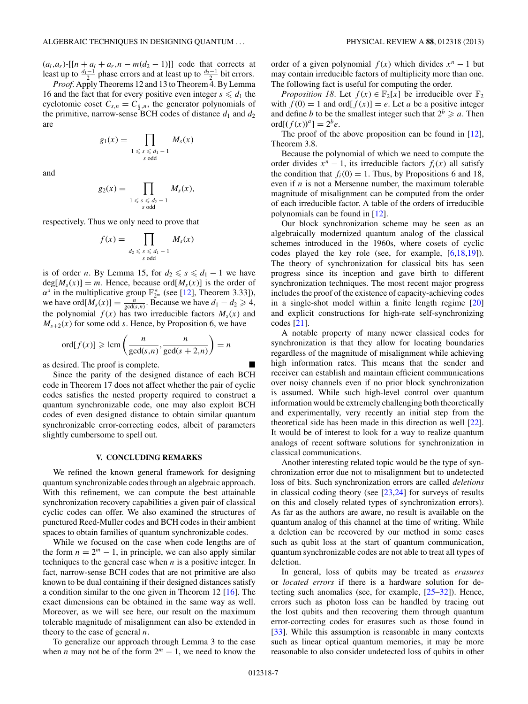<span id="page-6-0"></span> $(a_l, a_r)$ -[[ $n + a_l + a_r, n - m(d_2 - 1)$ ]] code that corrects at least up to  $\frac{d_1-1}{2}$  phase errors and at least up to  $\frac{d_2-1}{2}$  bit errors.

*Proof.* Apply Theorems 12 and 13 to Theorem 4. By Lemma 16 and the fact that for every positive even integer  $s \leq d_1$  the cyclotomic coset  $C_{s,n} = C_{\frac{s}{2},n}$ , the generator polynomials of the primitive, narrow-sense BCH codes of distance  $d_1$  and  $d_2$ are

$$
g_1(x) = \prod_{\substack{1 \leq s \leq d_1 - 1 \\ s \text{ odd}}} M_s(x)
$$

and

$$
g_2(x) = \prod_{\substack{1 \leq s \leq d_2 - 1 \\ s \text{ odd}}} M_s(x),
$$

respectively. Thus we only need to prove that

$$
f(x) = \prod_{\substack{d_2 \leq s \leq d_1 - 1 \\ s \text{ odd}}} M_s(x)
$$

is of order *n*. By Lemma 15, for  $d_2 \le s \le d_1 - 1$  we have  $deg[M_s(x)] = m$ . Hence, because ord[ $M_s(x)$ ] is the order of  $\alpha^s$  in the multiplicative group  $\mathbb{F}_{2^m}^*$  (see [\[12\]](#page-7-0), Theorem 3.33]), we have ord $[M_s(x)] = \frac{n}{\gcd(s,n)}$ . Because we have  $d_1 - d_2 \ge 4$ , the polynomial  $f(x)$  has two irreducible factors  $M_s(x)$  and  $M_{s+2}(x)$  for some odd *s*. Hence, by Proposition 6, we have

$$
\operatorname{ord}[f(x)] \geqslant \operatorname{lcm}\left(\frac{n}{\gcd(s,n)}, \frac{n}{\gcd(s+2,n)}\right) = n
$$

as desired. The proof is complete.

Since the parity of the designed distance of each BCH code in Theorem 17 does not affect whether the pair of cyclic codes satisfies the nested property required to construct a quantum synchronizable code, one may also exploit BCH codes of even designed distance to obtain similar quantum synchronizable error-correcting codes, albeit of parameters slightly cumbersome to spell out.

#### **V. CONCLUDING REMARKS**

We refined the known general framework for designing quantum synchronizable codes through an algebraic approach. With this refinement, we can compute the best attainable synchronization recovery capabilities a given pair of classical cyclic codes can offer. We also examined the structures of punctured Reed-Muller codes and BCH codes in their ambient spaces to obtain families of quantum synchronizable codes.

While we focused on the case when code lengths are of the form  $n = 2<sup>m</sup> - 1$ , in principle, we can also apply similar techniques to the general case when *n* is a positive integer. In fact, narrow-sense BCH codes that are not primitive are also known to be dual containing if their designed distances satisfy a condition similar to the one given in Theorem 12 [\[16\]](#page-7-0). The exact dimensions can be obtained in the same way as well. Moreover, as we will see here, our result on the maximum tolerable magnitude of misalignment can also be extended in theory to the case of general *n*.

To generalize our approach through Lemma 3 to the case when *n* may not be of the form  $2^m - 1$ , we need to know the order of a given polynomial  $f(x)$  which divides  $x^n - 1$  but may contain irreducible factors of multiplicity more than one. The following fact is useful for computing the order.

*Proposition 18.* Let  $f(x) \in \mathbb{F}_2[x]$  be irreducible over  $\mathbb{F}_2$ with  $f(0) = 1$  and ord $[f(x)] = e$ . Let *a* be a positive integer and define *b* to be the smallest integer such that  $2^b \ge a$ . Then  $ord[(f(x))^{a}] = 2^{b}e.$ 

The proof of the above proposition can be found in [\[12\]](#page-7-0), Theorem 3.8.

Because the polynomial of which we need to compute the order divides  $x^n - 1$ , its irreducible factors  $f_i(x)$  all satisfy the condition that  $f_i(0) = 1$ . Thus, by Propositions 6 and 18, even if *n* is not a Mersenne number, the maximum tolerable magnitude of misalignment can be computed from the order of each irreducible factor. A table of the orders of irreducible polynomials can be found in [\[12\]](#page-7-0).

Our block synchronization scheme may be seen as an algebraically modernized quantum analog of the classical schemes introduced in the 1960s, where cosets of cyclic codes played the key role (see, for example, [\[6,18,19\]](#page-7-0)). The theory of synchronization for classical bits has seen progress since its inception and gave birth to different synchronization techniques. The most recent major progress includes the proof of the existence of capacity-achieving codes in a single-shot model within a finite length regime [\[20\]](#page-7-0) and explicit constructions for high-rate self-synchronizing codes [\[21\]](#page-7-0).

A notable property of many newer classical codes for synchronization is that they allow for locating boundaries regardless of the magnitude of misalignment while achieving high information rates. This means that the sender and receiver can establish and maintain efficient communications over noisy channels even if no prior block synchronization is assumed. While such high-level control over quantum information would be extremely challenging both theoretically and experimentally, very recently an initial step from the theoretical side has been made in this direction as well [\[22\]](#page-7-0). It would be of interest to look for a way to realize quantum analogs of recent software solutions for synchronization in classical communications.

Another interesting related topic would be the type of synchronization error due not to misalignment but to undetected loss of bits. Such synchronization errors are called *deletions* in classical coding theory (see [\[23,24\]](#page-7-0) for surveys of results on this and closely related types of synchronization errors). As far as the authors are aware, no result is available on the quantum analog of this channel at the time of writing. While a deletion can be recovered by our method in some cases such as qubit loss at the start of quantum communication, quantum synchronizable codes are not able to treat all types of deletion.

In general, loss of qubits may be treated as *erasures* or *located errors* if there is a hardware solution for detecting such anomalies (see, for example, [\[25–32\]](#page-7-0)). Hence, errors such as photon loss can be handled by tracing out the lost qubits and then recovering them through quantum error-correcting codes for erasures such as those found in [\[33\]](#page-7-0). While this assumption is reasonable in many contexts such as linear optical quantum memories, it may be more reasonable to also consider undetected loss of qubits in other